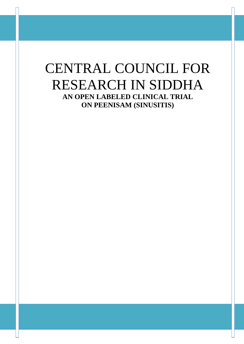# CENTRAL COUNCIL FOR RESEARCH IN SIDDHA

**AN OPEN LABELED CLINICAL TRIAL ON PEENISAM (SINUSITIS)**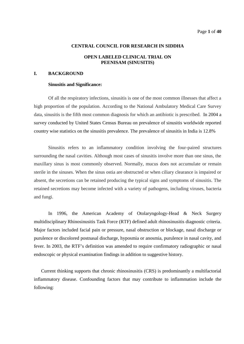# **CENTRAL COUNCIL FOR RESEARCH IN SIDDHA**

#### **OPEN LABELED CLINICAL TRIAL ON PEENISAM (SINUSITIS)**

#### **I. BACKGROUND**

#### **Sinusitis and Significance:**

Of all the respiratory infections, sinusitis is one of the most common illnesses that affect a high proportion of the population. According to the National Ambulatory Medical Care Survey data, sinusitis is the fifth most common diagnosis for which an antibiotic is prescribed. In 2004 a survey conducted by United States Census Bureau on prevalence of sinusitis worldwide reported country wise statistics on the sinusitis prevalence. The prevalence of sinusitis in India is 12.8%

Sinusitis refers to an inflammatory condition involving the four-paired structures surrounding the nasal cavities. Although most cases of sinusitis involve more than one sinus, the maxillary sinus is most commonly observed. Normally, mucus does not accumulate or remain sterile in the sinuses. When the sinus ostia are obstructed or when ciliary clearance is impaired or absent, the secretions can be retained producing the typical signs and symptoms of sinusitis. The retained secretions may become infected with a variety of pathogens, including viruses, bacteria and fungi.

In 1996, the American Academy of Otolaryngology-Head & Neck Surgery multidisciplinary Rhinosinusitis Task Force (RTF) defined adult rhinosinusitis diagnostic criteria. Major factors included facial pain or pressure, nasal obstruction or blockage, nasal discharge or purulence or discolored postnasal discharge, hyposmia or anosmia, purulence in nasal cavity, and fever. In 2003, the RTF's definition was amended to require confirmatory radiographic or nasal endoscopic or physical examination findings in addition to suggestive history.

Current thinking supports that chronic rhinosinusitis (CRS) is predominantly a multifactorial inflammatory disease. Confounding factors that may contribute to inflammation include the following: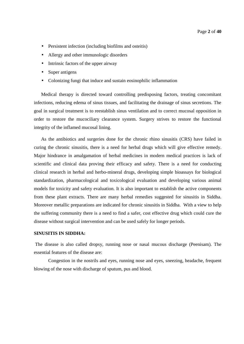- Persistent infection (including biofilms and osteitis)
- Allergy and other immunologic disorders
- Intrinsic factors of the upper airway
- Super antigens
- Colonizing fungi that induce and sustain eosinophilic inflammation

Medical therapy is directed toward controlling predisposing factors, treating concomitant infections, reducing edema of sinus tissues, and facilitating the drainage of sinus secretions. The goal in surgical treatment is to reestablish sinus ventilation and to correct mucosal opposition in order to restore the mucociliary clearance system. Surgery strives to restore the functional integrity of the inflamed mucosal lining.

As the antibiotics and surgeries done for the chronic rhino sinusitis (CRS) have failed in curing the chronic sinusitis, there is a need for herbal drugs which will give effective remedy. Major hindrance in amalgamation of herbal medicines in modern medical practices is lack of scientific and clinical data proving their efficacy and safety. There is a need for conducting clinical research in herbal and herbo-mineral drugs, developing simple bioassays for biological standardization, pharmacological and toxicological evaluation and developing various animal models for toxicity and safety evaluation. It is also important to establish the active components from these plant extracts. There are many herbal remedies suggested for sinusitis in Siddha. Moreover metallic preparations are indicated for chronic sinusitis in Siddha. With a view to help the suffering community there is a need to find a safer, cost effective drug which could cure the disease without surgical intervention and can be used safely for longer periods.

#### **SINUSITIS IN SIDDHA:**

The disease is also called dropsy, running nose or nasal mucous discharge (Peenisam). The essential features of the disease are:

Congestion in the nostrils and eyes, running nose and eyes, sneezing, headache, frequent blowing of the nose with discharge of sputum, pus and blood.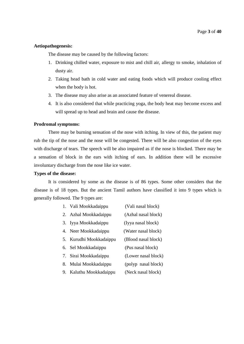#### **Aetiopathogenesis:**

The disease may be caused by the following factors:

- 1. Drinking chilled water, exposure to mist and chill air, allergy to smoke, inhalation of dusty air.
- 2. Taking head bath in cold water and eating foods which will produce cooling effect when the body is hot.
- 3. The disease may also arise as an associated feature of venereal disease.
- 4. It is also considered that while practicing yoga, the body heat may become excess and will spread up to head and brain and cause the disease.

#### **Prodromal symptoms:**

There may be burning sensation of the nose with itching. In view of this, the patient may rub the tip of the nose and the nose will be congested. There will be also congestion of the eyes with discharge of tears. The speech will be also impaired as if the nose is blocked. There may be a sensation of block in the ears with itching of ears. In addition there will be excessive involuntary discharge from the nose like ice water.

#### **Types of the disease:**

It is considered by some as the disease is of 86 types. Some other considers that the disease is of 18 types. But the ancient Tamil authors have classified it into 9 types which is generally followed. The 9 types are:

|    | 1. Vali Mookkadaippu    | (Vali nasal block)  |
|----|-------------------------|---------------------|
|    | 2. Azhal Mookkadaippu   | (Azhal nasal block) |
|    | 3. Iyya Mookkadaippu    | (Iyya nasal block)  |
|    | 4. Neer Mookkadaippu    | (Water nasal block) |
|    | 5. Kurudhi Mookkadaippu | (Blood nasal block) |
|    | 6. Sel Mookkadaippu     | (Pus nasal block)   |
|    | 7. Sirai Mookkadaippu   | (Lower nasal block) |
| 8. | Mulai Mookkadaippu      | (polyp nasal block) |
|    | 9. Kaluthu Mookkadaippu | (Neck nasal block)  |
|    |                         |                     |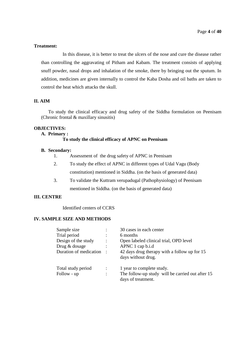#### **Treatment:**

In this disease, it is better to treat the ulcers of the nose and cure the disease rather than controlling the aggravating of Pitham and Kabam. The treatment consists of applying snuff powder, nasal drops and inhalation of the smoke, there by bringing out the sputum. In addition, medicines are given internally to control the Kaba Dosha and oil baths are taken to control the heat which attacks the skull.

#### **II. AIM**

To study the clinical efficacy and drug safety of the Siddha formulation on Peenisam (Chronic frontal & maxillary sinusitis)

#### **OBJECTIVES:**

#### **A. Primary :**

#### **To study the clinical efficacy of APNC on Peenisam**

#### **B. Secondary:**

- 1. Assessment of the drug safety of APNC in Peenisam
- 2. To study the effect of APNC in different types of Udal Vagu (Body constitution) mentioned in Siddha. (on the basis of generated data)
- 3. To validate the Kuttram verupadugal (Pathophysiology) of Peenisam mentioned in Siddha. (on the basis of generated data)

#### **III. CENTRE**

Identified centers of CCRS

#### **IV. SAMPLE SIZE AND METHODS**

| Sample size<br>Trial period<br>Design of the study<br>Drug $&$ dosage<br>Duration of medication : | ٠<br>$\ddot{\cdot}$<br>$\mathbb{R}^2$<br>$\ddot{\phantom{a}}$ | 30 cases in each center<br>6 months<br>Open labeled clinical trial, OPD level<br>APNC 1 cap b.i.d<br>42 days drug therapy with a follow up for 15<br>days without drug. |
|---------------------------------------------------------------------------------------------------|---------------------------------------------------------------|-------------------------------------------------------------------------------------------------------------------------------------------------------------------------|
| Total study period<br>Follow - up                                                                 | $\ddot{\cdot}$                                                | 1 year to complete study.<br>The follow-up study will be carried out after 15<br>days of treatment.                                                                     |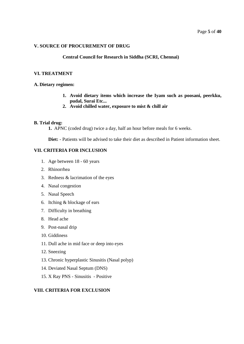#### **V. SOURCE OF PROCUREMENT OF DRUG**

#### **Central Council for Research in Siddha (SCRI, Chennai)**

#### **VI. TREATMENT**

#### **A. Dietary regimen:**

- **1. Avoid dietary items which increase the Iyam such as poosani, peerkku, pudal, Surai Etc...**
- **2. Avoid chilled water, exposure to mist & chill air**

#### **B. Trial drug:**

**1.** APNC (coded drug) twice a day, half an hour before meals for 6 weeks.

**Diet:** - Patients will be advised to take their diet as described in Patient information sheet.

#### **VII. CRITERIA FOR INCLUSION**

- 1. Age between 18 60 years
- 2. Rhinorrhea
- 3. Redness & lacrimation of the eyes
- 4. Nasal congestion
- 5. Nasal Speech
- 6. Itching & blockage of ears
- 7. Difficulty in breathing
- 8. Head ache
- 9. Post-nasal drip
- 10. Giddiness
- 11. Dull ache in mid face or deep into eyes
- 12. Sneezing
- 13. Chronic hyperplastic Sinusitis (Nasal polyp)
- 14. Deviated Nasal Septum (DNS)
- 15. X Ray PNS Sinusitis Positive

#### **VIII. CRITERIA FOR EXCLUSION**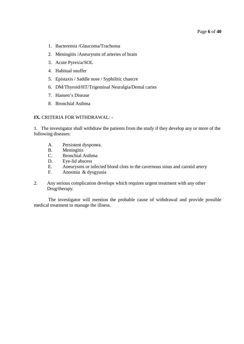- 1. Bacteremia /Glaucoma/Trachoma
- 2. Meningitis /Aneurysms of arteries of brain
- 3. Acute Pyrexia/SOL
- 4. Habitual snuffer
- 5. Epistaxis / Saddle nose / Syphilitic chancre
- 6. DM/Thyroid/HT/Trigeminal Neuralgia/Dental caries
- 7. Hansen's Disease
- 8. Bronchial Asthma

#### **IX.** CRITERIA FOR WITHDRAWAL: -

1. The investigator shall withdraw the patients from the study if they develop any or more of the following diseases:

- A. Persistent dysponea.
- B. Meningitis
- C. Bronchial Asthma
- D. Eye-lid abscess
- E. Aneurysms or infected blood clots in the cavernous sinus and carotid artery
- F. Anosmia & dysgyusia
- 2. Any serious complication develops which requires urgent treatment with any other Drug/therapy.

The investigator will mention the probable cause of withdrawal and provide possible medical treatment to manage the illness.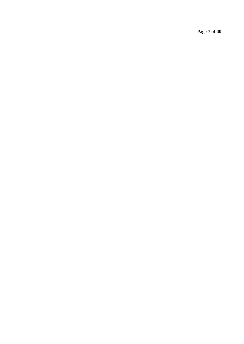Page **7** of **40**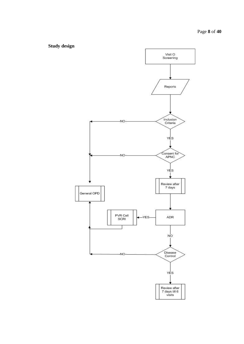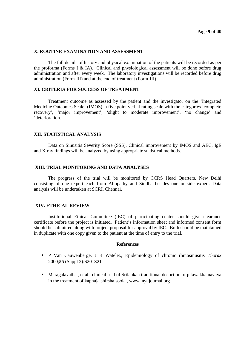#### **X. ROUTINE EXAMINATION AND ASSESSMENT**

The full details of history and physical examination of the patients will be recorded as per the proforma (Forms I & IA). Clinical and physiological assessment will be done before drug administration and after every week. The laboratory investigations will be recorded before drug administration (Form-III) and at the end of treatment (Form-III)

#### **XI. CRITERIA FOR SUCCESS OF TREATMENT**

Treatment outcome as assessed by the patient and the investigator on the 'Integrated Medicine Outcomes Scale' (IMOS), a five point verbal rating scale with the categories 'complete recovery', 'major improvement', 'slight to moderate improvement', 'no change' and 'deterioration.

#### **XII. STATISTICAL ANALYSIS**

Data on Sinusitis Severity Score (SSS), Clinical improvement by IMOS and AEC, IgE and X-ray findings will be analyzed by using appropriate statistical methods.

#### **XIII. TRIAL MONITORING AND DATA ANALYSES**

The progress of the trial will be monitored by CCRS Head Quarters, New Delhi consisting of one expert each from Allopathy and Siddha besides one outside expert. Data analysis will be undertaken at SCRI, Chennai.

#### **XIV. ETHICAL REVIEW**

Institutional Ethical Committee (IEC) of participating center should give clearance certificate before the project is initiated. Patient's information sheet and informed consent form should be submitted along with project proposal for approval by IEC. Both should be maintained in duplicate with one copy given to the patient at the time of entry to the trial.

#### **References**

- P Van Cauwenberge, J B Watelet., Epidemiology of chronic rhinosinusitis *Thorax* 2000;**55** (Suppl 2):S20–S21
- Maragalavatha., et.al , clinical trial of Srilankan traditional decoction of pitawakka navaya in the treatment of kaphaja shirsha soola., www. ayujournal.org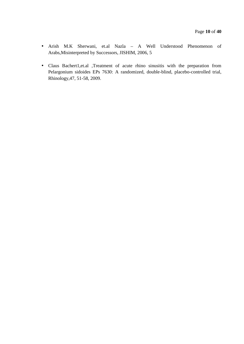- Arish M.K Sherwani, et.al Nazla A Well Understood Phenomenon of Arabs,Misinterpreted by Successors, JISHIM, 2006, 5
- Claus Bachert1,et.al ,Treatment of acute rhino sinusitis with the preparation from Pelargonium sidoides EPs 7630: A randomized, double-blind, placebo-controlled trial, Rhinology,47, 51-58, 2009.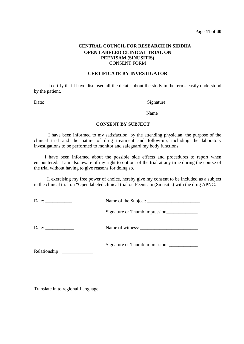Page **11** of **40**

#### **CENTRAL COUNCIL FOR RESEARCH IN SIDDHA OPEN LABELED CLINICAL TRIAL ON PEENISAM (SINUSITIS)** CONSENT FORM

#### **CERTIFICATE BY INVESTIGATOR**

I certify that I have disclosed all the details about the study in the terms easily understood by the patient.

Date: \_\_\_\_\_\_\_\_\_\_\_\_\_\_\_ Signature\_\_\_\_\_\_\_\_\_\_\_\_\_\_\_\_\_

Name

#### **CONSENT BY SUBJECT**

I have been informed to my satisfaction, by the attending physician, the purpose of the clinical trial and the nature of drug treatment and follow-up, including the laboratory investigations to be performed to monitor and safeguard my body functions.

I have been informed about the possible side effects and procedures to report when encountered. I am also aware of my right to opt out of the trial at any time during the course of the trial without having to give reasons for doing so.

I, exercising my free power of choice, hereby give my consent to be included as a subject in the clinical trial on "Open labeled clinical trial on Peenisam (Sinusitis) with the drug APNC.

| Date: ____________          |  |  |  |
|-----------------------------|--|--|--|
|                             |  |  |  |
| Date: ______________        |  |  |  |
| Relationship ______________ |  |  |  |

Translate in to regional Language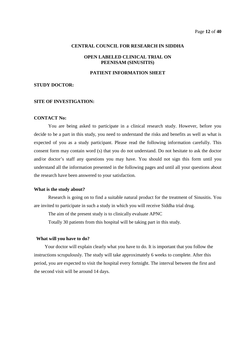#### **CENTRAL COUNCIL FOR RESEARCH IN SIDDHA**

#### **OPEN LABELED CLINICAL TRIAL ON PEENISAM (SINUSITIS)**

#### **PATIENT INFORMATION SHEET**

#### **STUDY DOCTOR:**

#### **SITE OF INVESTIGATION:**

#### **CONTACT No:**

You are being asked to participate in a clinical research study. However, before you decide to be a part in this study, you need to understand the risks and benefits as well as what is expected of you as a study participant. Please read the following information carefully. This consent form may contain word (s) that you do not understand. Do not hesitate to ask the doctor and/or doctor's staff any questions you may have. You should not sign this form until you understand all the information presented in the following pages and until all your questions about the research have been answered to your satisfaction.

#### **What is the study about?**

Research is going on to find a suitable natural product for the treatment of Sinusitis. You are invited to participate in such a study in which you will receive Siddha trial drug.

The aim of the present study is to clinically evaluate APNC

Totally 30 patients from this hospital will be taking part in this study.

#### **What will you have to do?**

Your doctor will explain clearly what you have to do. It is important that you follow the instructions scrupulously. The study will take approximately 6 weeks to complete. After this period, you are expected to visit the hospital every fortnight. The interval between the first and the second visit will be around 14 days.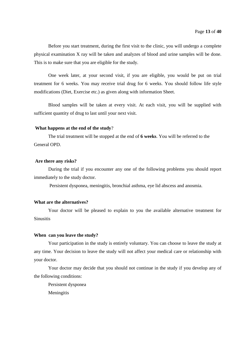Before you start treatment, during the first visit to the clinic, you will undergo a complete physical examination X ray will be taken and analyzes of blood and urine samples will be done. This is to make sure that you are eligible for the study.

One week later, at your second visit, if you are eligible, you would be put on trial treatment for 6 weeks. You may receive trial drug for 6 weeks. You should follow life style modifications (Diet, Exercise etc.) as given along with information Sheet.

Blood samples will be taken at every visit. At each visit, you will be supplied with sufficient quantity of drug to last until your next visit.

#### **What happens at the end of the study**?

The trial treatment will be stopped at the end of **6 weeks**. You will be referred to the General OPD.

#### **Are there any risks?**

During the trial if you encounter any one of the following problems you should report immediately to the study doctor.

Persistent dysponea, meningitis, bronchial asthma, eye lid abscess and anosmia.

#### **What are the alternatives?**

Your doctor will be pleased to explain to you the available alternative treatment for **Sinusitis** 

#### **When can you leave the study?**

Your participation in the study is entirely voluntary. You can choose to leave the study at any time. Your decision to leave the study will not affect your medical care or relationship with your doctor.

Your doctor may decide that you should not continue in the study if you develop any of the following conditions:

Persistent dysponea **Meningitis**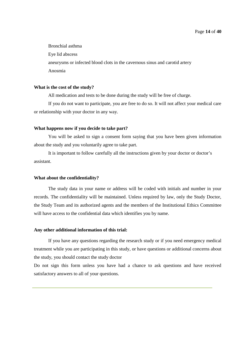Bronchial asthma Eye lid abscess aneurysms or infected blood clots in the cavernous sinus and carotid artery Anosmia

#### **What is the cost of the study?**

All medication and tests to be done during the study will be free of charge.

If you do not want to participate, you are free to do so. It will not affect your medical care or relationship with your doctor in any way.

#### **What happens now if you decide to take part?**

You will be asked to sign a consent form saying that you have been given information about the study and you voluntarily agree to take part.

It is important to follow carefully all the instructions given by your doctor or doctor's assistant.

#### **What about the confidentiality?**

The study data in your name or address will be coded with initials and number in your records. The confidentiality will be maintained. Unless required by law, only the Study Doctor, the Study Team and its authorized agents and the members of the Institutional Ethics Committee will have access to the confidential data which identifies you by name.

#### **Any other additional information of this trial:**

If you have any questions regarding the research study or if you need emergency medical treatment while you are participating in this study, or have questions or additional concerns about the study, you should contact the study doctor

Do not sign this form unless you have had a chance to ask questions and have received satisfactory answers to all of your questions.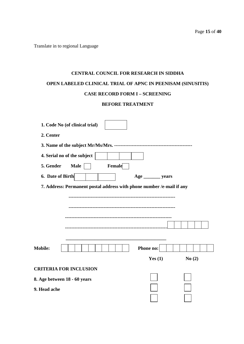Translate in to regional Language

# **CENTRAL COUNCIL FOR RESEARCH IN SIDDHA OPEN LABELED CLINICAL TRIAL OF APNC IN PEENISAM (SINUSITIS)**

#### **CASE RECORD FORM I – SCREENING**

#### **BEFORE TREATMENT**

|                               | 1. Code No (of clinical trial)                                        |                   |       |
|-------------------------------|-----------------------------------------------------------------------|-------------------|-------|
| 2. Center                     |                                                                       |                   |       |
|                               |                                                                       |                   |       |
| 4. Serial no of the subject   |                                                                       |                   |       |
| 5. Gender                     | Female<br><b>Male</b>                                                 |                   |       |
| 6. Date of Birth              |                                                                       | $Age \_\_\_years$ |       |
|                               | 7. Address: Permanent postal address with phone number /e-mail if any |                   |       |
|                               |                                                                       |                   |       |
|                               |                                                                       |                   |       |
|                               |                                                                       |                   |       |
|                               |                                                                       |                   |       |
|                               |                                                                       |                   |       |
|                               |                                                                       |                   |       |
| <b>Mobile:</b>                |                                                                       | Phone no:         |       |
|                               |                                                                       | Yes $(1)$         | No(2) |
| <b>CRITERIA FOR INCLUSION</b> |                                                                       |                   |       |
| 8. Age between 18 - 60 years  |                                                                       |                   |       |
|                               |                                                                       |                   |       |
| 9. Head ache                  |                                                                       |                   |       |
|                               |                                                                       |                   |       |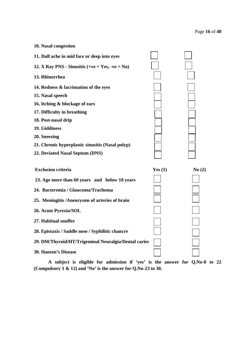| 10. Nasal congestion                                 |           |       |
|------------------------------------------------------|-----------|-------|
| 11. Dull ache in mid face or deep into eyes          |           |       |
| 12. X Ray PNS - Sinusitis $(+ve = Yes, -ve = No)$    |           |       |
| 13. Rhinorrhea                                       |           |       |
| 14. Redness & lacrimation of the eyes                |           |       |
| 15. Nasal speech                                     |           |       |
| 16. Itching & blockage of ears                       |           |       |
| 17. Difficulty in breathing                          |           |       |
| 18. Post-nasal drip                                  |           |       |
| 19. Giddiness                                        |           |       |
| 20. Sneezing                                         |           |       |
| 21. Chronic hyperplastic sinusitis (Nasal polyp)     |           |       |
| 22. Deviated Nasal Septum (DNS)                      |           |       |
| <b>Exclusion criteria</b>                            | Yes $(1)$ | No(2) |
| 23. Age more than 60 years and below 18 years        |           |       |
| 24. Bacteremia / Glaucoma/Trachoma                   |           |       |
|                                                      |           |       |
| 25. Meningitis / Aneurysms of arteries of brain      |           |       |
| 26. Acute Pyrexia/SOL                                |           |       |
| 27. Habitual snuffer                                 |           |       |
| 28. Epistaxis / Saddle nose / Syphilitic chancre     |           |       |
| 29. DM/Thyroid/HT/Trigeminal Neuralgia/Dental caries |           |       |

**A subject is eligible for admission if 'yes' is the answer for Q.No-8 to 22 (Compulsory 1 & 12) and 'No' is the answer for Q.No-23 to 30.**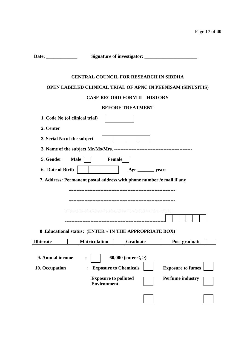| Date: $\_\_$                                                                 |
|------------------------------------------------------------------------------|
| <b>CENTRAL COUNCIL FOR RESEARCH IN SIDDHA</b>                                |
| <b>OPEN LABELED CLINICAL TRIAL OF APNC IN PEENISAM (SINUSITIS)</b>           |
| <b>CASE RECORD FORM II - HISTORY</b>                                         |
| <b>BEFORE TREATMENT</b>                                                      |
| 1. Code No (of clinical trial)                                               |
| 2. Center                                                                    |
| 3. Serial No of the subject                                                  |
|                                                                              |
| Female<br>5. Gender<br><b>Male</b>                                           |
| 6. Date of Birth                                                             |
|                                                                              |
| 7. Address: Permanent postal address with phone number /e mail if any        |
|                                                                              |
|                                                                              |
|                                                                              |
| --------------------------------------                                       |
| 8. Educational status: (ENTER IN THE APPROPRIATE BOX)                        |
| <b>Matriculation</b><br>Graduate<br><b>Illiterate</b><br>Post graduate       |
| 9. Annual income<br>$60,000$ (enter, )<br>፡                                  |
| <b>Exposure to Chemicals</b><br><b>Exposure to fumes</b><br>10. Occupation   |
| <b>Perfume industry</b><br><b>Exposure to polluted</b><br><b>Environment</b> |
|                                                                              |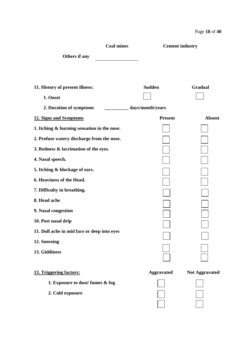|                                               | <b>Coal mines</b> | <b>Cement industry</b> |                       |
|-----------------------------------------------|-------------------|------------------------|-----------------------|
| Others if any                                 |                   |                        |                       |
|                                               |                   |                        |                       |
| 11. History of present illness:               |                   | <b>Sudden</b>          | <b>Gradual</b>        |
| 1. Onset                                      |                   |                        |                       |
| 2. Duration of symptoms                       |                   | days/month/years       |                       |
| 12. Signs and Symptoms                        |                   | <b>Present</b>         | <b>Absent</b>         |
| 1. Itching $&$ burning sensation in the nose. |                   |                        |                       |
| 2. Profuse watery discharge from the nose.    |                   |                        |                       |
| 3. Redness & lacrimation of the eyes.         |                   |                        |                       |
| 4. Nasal speech.                              |                   |                        |                       |
| 5. Itching & blockage of ears.                |                   |                        |                       |
| 6. Heaviness of the Head.                     |                   |                        |                       |
| 7. Difficulty in breathing.                   |                   |                        |                       |
| 8. Head ache                                  |                   |                        |                       |
| 9. Nasal congestion                           |                   |                        |                       |
| 10. Post nasal drip                           |                   |                        |                       |
| 11. Dull ache in mid face or deep into eyes   |                   |                        |                       |
| 12. Sneezing                                  |                   |                        |                       |
| 13. Giddiness                                 |                   |                        |                       |
|                                               |                   |                        |                       |
| <b>13. Triggering factors:</b>                |                   | <b>Aggravated</b>      | <b>Not Aggravated</b> |
| 1. Exposure to dust/fumes & fog               |                   |                        |                       |
| 2. Cold exposure                              |                   |                        |                       |
|                                               |                   |                        |                       |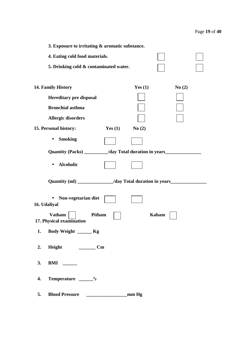| 3. Exposure to irritating $\&$ aromatic substance.                                |                     |       |  |
|-----------------------------------------------------------------------------------|---------------------|-------|--|
| 4. Eating cold food materials.                                                    |                     |       |  |
| 5. Drinking cold & contaminated water.                                            |                     |       |  |
|                                                                                   |                     |       |  |
| 14. Family History                                                                | Yes $(1)$           | No(2) |  |
| <b>Hereditary pre disposal</b>                                                    |                     |       |  |
| <b>Bronchial asthma</b>                                                           |                     |       |  |
| <b>Allergic disorders</b>                                                         |                     |       |  |
| 15. Personal history:<br>Yes(1)                                                   | No(2)               |       |  |
| <b>Smoking</b>                                                                    |                     |       |  |
| Quantity (Packs) _________/day Total duration in years__________________________  |                     |       |  |
| <b>Alcoholic</b><br>$\bullet$                                                     |                     |       |  |
|                                                                                   |                     |       |  |
| Quantity (ml) ____________/day Total duration in years___________________________ |                     |       |  |
| Non-vegetarian diet<br>$\bullet$                                                  |                     |       |  |
| 16. Udaliyal                                                                      |                     |       |  |
| <b>Vatham</b><br>Pitham<br>17. Physical examination                               | Kabam               |       |  |
| 1.<br>Body Weight ______ Kg                                                       |                     |       |  |
|                                                                                   |                     |       |  |
| 2.<br>Height <u>Cm</u>                                                            |                     |       |  |
| 3.<br>BMI                                                                         |                     |       |  |
| 4.                                                                                |                     |       |  |
| <b>Blood Pressure</b><br>5.                                                       | $\frac{1}{2}$ mm Hg |       |  |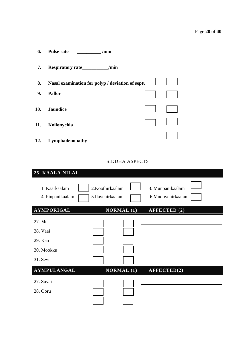| 6.  | <b>Pulse rate</b><br>/min                        |  |
|-----|--------------------------------------------------|--|
| 7.  | Respiratory rate<br>/min                         |  |
| 8.  | Nasal examination for polyp / deviation of septu |  |
| 9.  | <b>Pallor</b>                                    |  |
| 10. | <b>Jaundice</b>                                  |  |
| 11. | Koilonychia                                      |  |
| 12. | Lymphadenopathy                                  |  |

## SIDDHA ASPECTS

| 25. KAALA NILAI                   |                                     |                                       |
|-----------------------------------|-------------------------------------|---------------------------------------|
| 1. Kaarkaalam<br>4. Pinpanikaalam | 2.Koothirkaalam<br>5.Ilavenirkaalam | 3. Munpanikaalam<br>6.Muduvenirkaalam |
| <b>AYMPORIGAL</b>                 | <b>NORMAL</b> (1)                   | <b>AFFECTED (2)</b>                   |
| 27. Mei                           |                                     |                                       |
| 28. Vaai                          |                                     |                                       |
| 29. Kan                           |                                     |                                       |
| 30. Mookku                        |                                     |                                       |
| 31. Sevi                          |                                     |                                       |
| <b>AYMPULANGAL</b>                | <b>NORMAL</b> (1)                   | AFFECTED(2)                           |
| 27. Suvai                         |                                     |                                       |
| 28. Ooru                          |                                     |                                       |
|                                   |                                     |                                       |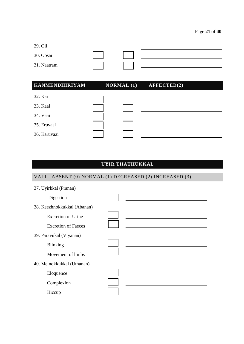| 29. Oli     |  |  |
|-------------|--|--|
| 30. Oosai   |  |  |
| 31. Naatram |  |  |

| <b>KANMENDHIRIYAM</b> | NORMAL(1) | AFFECTED(2) |
|-----------------------|-----------|-------------|
| 32. Kai               |           |             |
| 33. Kaal              |           |             |
| 34. Vaai              |           |             |
| 35. Eruvaai           |           |             |
| 36. Karuvaai          |           |             |

# **UYIR THATHUKKAL**

## VALI - ABSENT (0) NORMAL (1) DECREASED (2) INCREASED (3)

 $\overline{\phantom{a}}$ 

| 37. Uyirkkal (Pranan)       |  |
|-----------------------------|--|
| Digestion                   |  |
| 38. Keezhnokkukkal (Abanan) |  |
| <b>Excretion of Urine</b>   |  |
| <b>Excretion of Faeces</b>  |  |
| 39. Paravukal (Viyanan)     |  |
| <b>Blinking</b>             |  |
| Movement of limbs           |  |
| 40. Melnokkukkal (Uthanan)  |  |
| Eloquence                   |  |
| Complexion                  |  |
| Hiccup                      |  |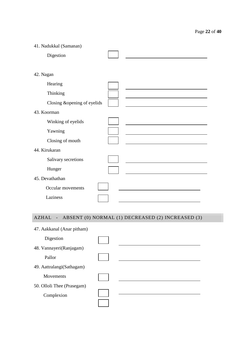| 41. Nadukkal (Samanan)       |  |
|------------------------------|--|
| Digestion                    |  |
|                              |  |
|                              |  |
| 42. Nagan                    |  |
| Hearing                      |  |
| Thinking                     |  |
| Closing & opening of eyelids |  |
| 43. Koorman                  |  |
| Winking of eyelids           |  |
| Yawning                      |  |
| Closing of mouth             |  |
| 44. Kirukaran                |  |
| Salivary secretions          |  |
| Hunger                       |  |
| 45. Devathathan              |  |
| Occular movements            |  |
| Laziness                     |  |

## AZHAL - ABSENT (0) NORMAL (1) DECREASED (2) INCREASED (3)

| 47. Aakkanal (Anar pitham) |  |
|----------------------------|--|
| Digestion                  |  |
| 48. Vannayeri(Ranjagam)    |  |
| Pallor                     |  |
| 49. Aattralangi(Sathagam)  |  |
| Movements                  |  |
| 50. Olloli Thee (Prasegam) |  |
| Complexion                 |  |
|                            |  |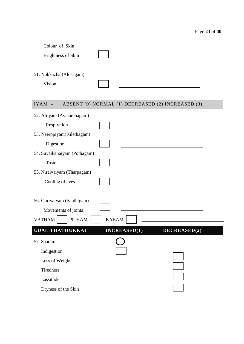| Colour of Skin                 |              |                                                   |              |  |
|--------------------------------|--------------|---------------------------------------------------|--------------|--|
| <b>Brightness of Skin</b>      |              |                                                   |              |  |
|                                |              |                                                   |              |  |
| 51. Nokkazhal(Alosagam)        |              |                                                   |              |  |
| Vision                         |              |                                                   |              |  |
|                                |              |                                                   |              |  |
| IYAM -                         |              | ABSENT (0) NORMAL (1) DECREASED (2) INCREASED (3) |              |  |
| 52. Aliiyam (Avalambagam)      |              |                                                   |              |  |
| Respiration                    |              |                                                   |              |  |
| 53. Neerppiyam(Kilethagam)     |              |                                                   |              |  |
| Digestion                      |              |                                                   |              |  |
| 54. Suvaikanaiyam (Pothagam)   |              |                                                   |              |  |
| <b>Taste</b>                   |              |                                                   |              |  |
| 55. Niraivaiyam (Tharpagam)    |              |                                                   |              |  |
| Cooling of eyes                |              |                                                   |              |  |
|                                |              |                                                   |              |  |
| 56. Onriyaiyam (Santhigam)     |              |                                                   |              |  |
| Movements of joints            |              |                                                   |              |  |
| <b>VATHAM</b><br><b>PITHAM</b> | <b>KABAM</b> |                                                   |              |  |
| <b>UDAL THATHUKKAL</b>         |              | INCREASED(1)                                      | DECREASED(2) |  |
| 57. Saaram                     |              |                                                   |              |  |
| Indigestion                    |              |                                                   |              |  |
| Loss of Weight                 |              |                                                   |              |  |
| Tiredness                      |              |                                                   |              |  |
| Lassitude                      |              |                                                   |              |  |
| Dryness of the Skin            |              |                                                   |              |  |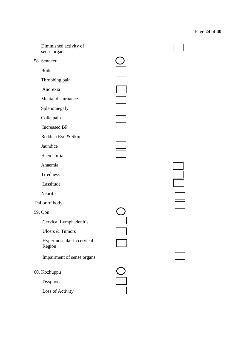#### Diminished activity of sense organs

- 58. Senneer
	- Boils
	- Throbbing pain
	- Anorexia
	- Mental disturbance
	- Splenomegaly
	- Colic pain
	- Increased BP
	- Reddish Eye & Skin
	- Jaundice
	- Haematuria
	- Anaemia
	- Tiredness
	- Lassitude
	- Neuritis
- Pallor of body
- 59. Oon

Cervical Lymphadenitis

Ulcers & Tumors

Hypermuscular in cervical Region

Impairment of sense organs

60. Kozhuppu

Dyspnoea

Loss of Activity



 $\frac{1}{\sqrt{1}}$ 

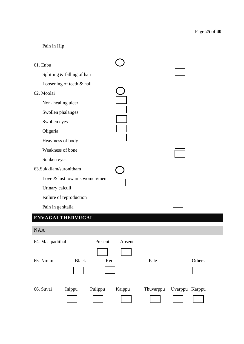## Pain in Hip

| 61. Enbu                         |           |                |
|----------------------------------|-----------|----------------|
| Splitting & falling of hair      |           |                |
| Loosening of teeth & nail        |           |                |
| 62. Moolai                       |           |                |
| Non-healing ulcer                |           |                |
| Swollen phalanges                |           |                |
| Swollen eyes                     |           |                |
| Oliguria                         |           |                |
| Heaviness of body                |           |                |
| Weakness of bone                 |           |                |
| Sunken eyes                      |           |                |
| 63.Sukkilam/suronitham           |           |                |
| Love & lust towards women/men    |           |                |
| Urinary calculi                  |           |                |
| Failure of reproduction          |           |                |
| Pain in genitalia                |           |                |
| ENVAGAI THERVUGAL                |           |                |
| <b>NAA</b>                       |           |                |
| 64. Maa padithal<br>Present      | Absent    |                |
|                                  |           |                |
| <b>Black</b><br>Red<br>65. Niram | Pale      | Others         |
|                                  |           |                |
| 66. Suvai                        | Thuvarppu |                |
| Pulippu<br>Inippu                | Kaippu    | Uvarppu Karppu |
|                                  |           |                |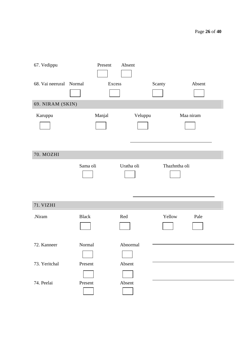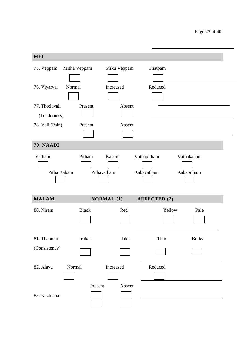| <b>MEI</b>             |                       |                   |                           |                          |
|------------------------|-----------------------|-------------------|---------------------------|--------------------------|
| 75. Veppam             | Mitha Veppam          | Miku Veppam       | Thatpam                   |                          |
|                        |                       |                   |                           |                          |
| 76. Viyarvai<br>Normal |                       | Increased         | Reduced                   |                          |
| 77. Thoduvali          | Present               | Absent            |                           |                          |
| (Tenderness)           |                       |                   |                           |                          |
| 78. Vali (Pain)        | Present               | Absent            |                           |                          |
|                        |                       |                   |                           |                          |
| 79. NAADI              |                       |                   |                           |                          |
| Vatham<br>Pitha Kabam  | Pitham<br>Pithavatham | Kabam             | Vathapitham<br>Kabavatham | Vathakabam<br>Kabapitham |
| <b>MALAM</b>           |                       | <b>NORMAL</b> (1) | <b>AFFECTED (2)</b>       |                          |
| 80. Niram              | <b>Black</b>          | Red               | Yellow                    | Pale                     |
| 81. Thanmai            | Irukal                | Ilakal            | Thin                      | <b>Bulky</b>             |
| (Consistency)          |                       |                   |                           |                          |
| 82. Alavu<br>Normal    |                       | Increased         | Reduced                   |                          |
| 83. Kazhichal          | Present               | Absent            |                           |                          |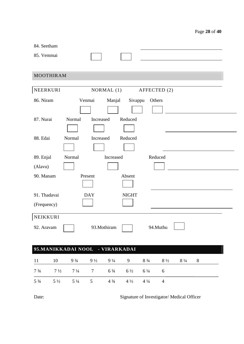| 84. Seetham                                     |                |                |                |                                  |                |                       |                |       |  |
|-------------------------------------------------|----------------|----------------|----------------|----------------------------------|----------------|-----------------------|----------------|-------|--|
| 85. Vemmai                                      |                |                |                |                                  |                |                       |                |       |  |
|                                                 |                |                |                |                                  |                |                       |                |       |  |
| MOOTHIRAM                                       |                |                |                |                                  |                |                       |                |       |  |
|                                                 |                |                |                |                                  |                |                       |                |       |  |
| <b>NEERKURI</b>                                 |                |                | NORMAL (1)     |                                  | AFFECTED (2)   |                       |                |       |  |
| 86. Niram                                       |                | Venmai         | Manjal         | Sivappu                          | Others         |                       |                |       |  |
|                                                 |                |                |                |                                  |                |                       |                |       |  |
| 87. Nurai                                       | Normal         | Increased      |                | Reduced                          |                |                       |                |       |  |
|                                                 |                |                |                |                                  |                |                       |                |       |  |
| 88. Edai                                        | Normal         | Increased      |                | Reduced                          |                |                       |                |       |  |
|                                                 |                |                |                |                                  |                |                       |                |       |  |
| 89. Enjal                                       | Normal         |                | Increased      |                                  | Reduced        |                       |                |       |  |
| (Alavu)                                         |                |                |                |                                  |                |                       |                |       |  |
| 90. Manam                                       |                | Present        |                | Absent                           |                |                       |                |       |  |
|                                                 |                |                |                |                                  |                |                       |                |       |  |
| 91. Thadavai                                    |                | <b>DAY</b>     |                | <b>NIGHT</b>                     |                |                       |                |       |  |
| (Frequency)                                     |                |                |                |                                  |                |                       |                |       |  |
|                                                 |                |                |                |                                  |                |                       |                |       |  |
| NEIKKURI                                        |                |                |                |                                  |                |                       |                |       |  |
| 92. Aravam                                      |                | 93. Mothiram   |                |                                  | 94.Muthu       |                       |                |       |  |
|                                                 |                |                |                |                                  |                |                       |                |       |  |
| 95.MANIKKADAI NOOL - VIRARKADAI                 |                |                |                |                                  |                |                       |                |       |  |
| 10<br>11                                        | $9\frac{3}{4}$ | $9\frac{1}{2}$ | $9\frac{1}{4}$ | 9                                | $8\frac{3}{4}$ | $8\,\,\mathrm{\AA{}}$ | $8\frac{1}{4}$ | $8\,$ |  |
| 7 <sup>3</sup> / <sub>4</sub><br>$7\frac{1}{2}$ | $7\frac{1}{4}$ | $\overline{7}$ | $6\frac{3}{4}$ | $6\frac{1}{2}$<br>$6\frac{1}{4}$ |                | $\boldsymbol{6}$      |                |       |  |
|                                                 |                |                |                |                                  |                |                       |                |       |  |
| $5\frac{3}{4}$<br>$5\frac{1}{2}$                | $5\frac{1}{4}$ | $\mathfrak{S}$ | $4\frac{3}{4}$ | $4\frac{1}{2}$<br>$4\frac{1}{4}$ |                | $\overline{4}$        |                |       |  |

Date: Signature of Investigator/ Medical Officer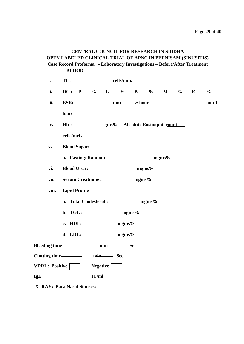### **CENTRAL COUNCIL FOR RESEARCH IN SIDDHA OPEN LABELED CLINICAL TRIAL OF APNC IN PEENISAM (SINUSITIS) Case Record Proforma - Laboratory Investigations – Before/After Treatment BLOOD**

| i.             | cells/mm.<br>TC:                                                 |
|----------------|------------------------------------------------------------------|
| ii.            | DC: P— % L— % B— % M— % E— %                                     |
| iii.           | ESR: $\frac{1}{2}$ mm $\frac{1}{2}$ hour<br>mm <sub>1</sub>      |
|                | hour                                                             |
| iv.            | Hb: gms% Absolute Eosinophil count                               |
|                | cells/mcL                                                        |
| $\mathbf{v}$ . | <b>Blood Sugar:</b>                                              |
|                | a. Fasting/Random<br>mgms%                                       |
| vi.            | Blood Urea:<br>mgms%                                             |
| vii.           | Serum Creatinine: mgms%                                          |
| viii.          | <b>Lipid Profile</b>                                             |
|                | a. Total Cholesterol: mgms%                                      |
|                | $\mathbf{b.} \quad \mathbf{TGL} : \qquad \qquad \mathbf{mgms\%}$ |
|                | c. $HDL:$ mgms%                                                  |
|                | d. $LDL:$ mgms%                                                  |
|                | Bleeding time<br><b>Sec</b><br>min                               |
|                | Clotting time- min Sec                                           |
|                | VDRL: Positive<br>Negative                                       |
|                | <b>IgE Example Example 20</b><br>IU/ml                           |

**X- RAY: Para Nasal Sinuses:**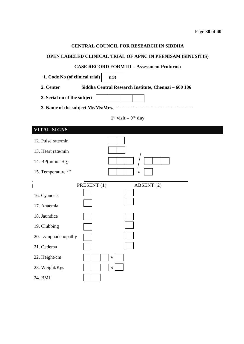#### **CENTRAL COUNCIL FOR RESEARCH IN SIDDHA**

#### **OPEN LABELED CLINICAL TRIAL OF APNC IN PEENISAM (SINUSITIS)**

#### **CASE RECORD FORM III – Assessment Proforma**

| 1. Code No (of clinical trial) | 043 |  |
|--------------------------------|-----|--|
|                                |     |  |

**2. Center Siddha Central Research Institute, Chennai – 600 106**

**3. Serial no of the subject**

**3. Name of the subject Mr/Ms/Mrs. -------------------------------------------------**

 $1<sup>st</sup>$  **visit** –  $0<sup>th</sup>$  **day** 

| <b>VITAL SIGNS</b>  |                           |
|---------------------|---------------------------|
| 12. Pulse rate/min  |                           |
| 13. Heart rate/min  |                           |
| 14. BP(mmof Hg)     |                           |
| 15. Temperature °F  | o                         |
|                     | PRESENT (1)<br>ABSENT (2) |
| 16. Cyanosis        |                           |
| 17. Anaemia         |                           |
| 18. Jaundice        |                           |
| 19. Clubbing        |                           |
| 20. Lymphadenopathy |                           |
| 21. Oedema          |                           |
| 22. Height/cm       | ٠                         |
| 23. Weight/Kgs      | 6                         |
| 24. BMI             |                           |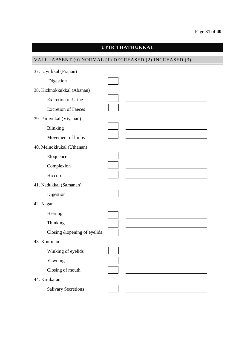## **UYIR THATHUKKAL**

# VALI - ABSENT (0) NORMAL (1) DECREASED (2) INCREASED (3)

| 37. Uyirkkal (Pranan)        |  |
|------------------------------|--|
| Digestion                    |  |
| 38. Kizhnokkukkal (Abanan)   |  |
| <b>Excretion of Urine</b>    |  |
| <b>Excretion of Faeces</b>   |  |
| 39. Paruvukal (Viyanan)      |  |
| Blinking                     |  |
| Movement of limbs            |  |
| 40. Melnokkukal (Uthanan)    |  |
| Eloquence                    |  |
| Complexion                   |  |
| Hiccup                       |  |
| 41. Nadukkal (Samanan)       |  |
| Digestion                    |  |
| 42. Nagan                    |  |
| Hearing                      |  |
| Thinking                     |  |
| Closing & opening of eyelids |  |
| 43. Koorman                  |  |
| Winking of eyelids           |  |
| Yawning                      |  |
| Closing of mouth             |  |
| 44. Kirukaran                |  |
| <b>Salivary Secretions</b>   |  |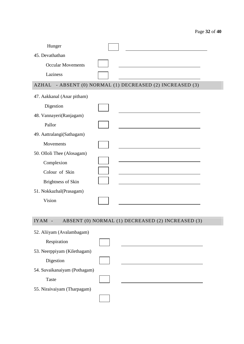| Hunger                     |                                                           |  |
|----------------------------|-----------------------------------------------------------|--|
| 45. Devathathan            |                                                           |  |
| <b>Occular Movements</b>   |                                                           |  |
| Laziness                   |                                                           |  |
|                            | AZHAL - ABSENT (0) NORMAL (1) DECREASED (2) INCREASED (3) |  |
| 47. Aakkanal (Anar pitham) |                                                           |  |
| Digestion                  |                                                           |  |
| 48. Vannayeri(Ranjagam)    |                                                           |  |
| Pallor                     |                                                           |  |
| 49. Aattralangi(Sathagam)  |                                                           |  |
| Movements                  |                                                           |  |
| 50. Olloli Thee (Alosagam) |                                                           |  |
| Complexion                 |                                                           |  |
| Colour of Skin             |                                                           |  |
| <b>Brightness of Skin</b>  |                                                           |  |
| 51. Nokkazhal(Prasagam)    |                                                           |  |
| Vision                     |                                                           |  |

## IYAM - ABSENT (0) NORMAL (1) DECREASED (2) INCREASED (3)

| 52. Aliiyam (Avalambagam)    |  |
|------------------------------|--|
| Respiration                  |  |
| 53. Neerppiyam (Kilethagam)  |  |
| Digestion                    |  |
| 54. Suvaikanaiyam (Pothagam) |  |
| Taste                        |  |
| 55. Niraivaiyam (Tharpagam)  |  |
|                              |  |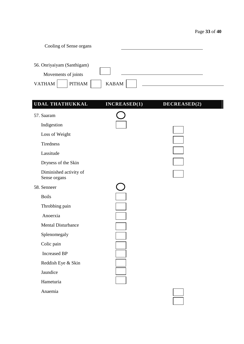| Cooling of Sense organs                                                      |                     |              |
|------------------------------------------------------------------------------|---------------------|--------------|
| 56. Onriyaiyam (Santhigam)<br>Movements of joints<br><b>VATHAM</b><br>PITHAM | <b>KABAM</b>        |              |
| UDAL THATHUKKAL                                                              | <b>INCREASED(1)</b> | DECREASED(2) |
| 57. Saaram                                                                   |                     |              |
| Indigestion                                                                  |                     |              |
| Loss of Weight                                                               |                     |              |
| <b>Tiredness</b>                                                             |                     |              |
| Lassitude                                                                    |                     |              |
| Dryness of the Skin                                                          |                     |              |
| Diminished activity of<br>Sense organs                                       |                     |              |
| 58. Senneer                                                                  |                     |              |
| <b>Boils</b>                                                                 |                     |              |
| Throbbing pain                                                               |                     |              |
| Anoerxia                                                                     |                     |              |
| <b>Mental Disturbance</b>                                                    |                     |              |
| Splenomegaly                                                                 |                     |              |
| Colic pain                                                                   |                     |              |
| <b>Increased BP</b>                                                          |                     |              |
| Reddish Eye & Skin                                                           |                     |              |
| Jaundice                                                                     |                     |              |
| Hameturia                                                                    |                     |              |
| Anaemia                                                                      |                     |              |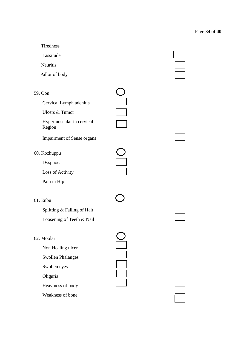Tiredness

Lassitude

Neuritis

Pallor of body

59. Oon

Cervical Lymph adenitis

 $\equiv$ 

Ulcers & Tumor

Hypermuscular in cervical Region

Impairment of Sense organs

60. Kozhuppu

Dyspnoea

Loss of Activity

Pain in Hip

61. Enbu

Splitting & Falling of Hair Loosening of Teeth & Nail

- 62. Moolai
	- Non Healing ulcer
	- Swollen Phalanges
	- Swollen eyes

Oliguria

Heaviness of body

Weakness of bone

h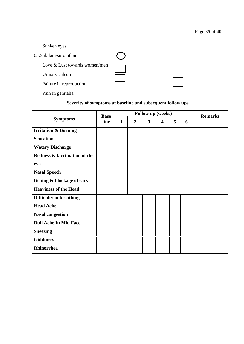| Sunken eyes                   |  |
|-------------------------------|--|
| 63.Sukilam/suronitham         |  |
| Love & Lust towards women/men |  |
| Urinary calculi               |  |
| Failure in reproduction       |  |
| Pain in genitalia             |  |

## **Severity of symptoms at baseline and subsequent follow ups**

| <b>Symptoms</b>                         | <b>Base</b> |              | Follow up (weeks) | <b>Remarks</b> |                         |   |   |  |
|-----------------------------------------|-------------|--------------|-------------------|----------------|-------------------------|---|---|--|
|                                         | line        | $\mathbf{1}$ | $\overline{2}$    | $\mathbf{3}$   | $\overline{\mathbf{4}}$ | 5 | 6 |  |
| <b>Irritation &amp; Burning</b>         |             |              |                   |                |                         |   |   |  |
| <b>Sensation</b>                        |             |              |                   |                |                         |   |   |  |
| <b>Watery Discharge</b>                 |             |              |                   |                |                         |   |   |  |
| <b>Redness &amp; lacrimation of the</b> |             |              |                   |                |                         |   |   |  |
| eyes                                    |             |              |                   |                |                         |   |   |  |
| <b>Nasal Speech</b>                     |             |              |                   |                |                         |   |   |  |
| Itching & blockage of ears              |             |              |                   |                |                         |   |   |  |
| <b>Heaviness of the Head</b>            |             |              |                   |                |                         |   |   |  |
| <b>Difficulty in breathing</b>          |             |              |                   |                |                         |   |   |  |
| <b>Head Ache</b>                        |             |              |                   |                |                         |   |   |  |
| <b>Nasal congestion</b>                 |             |              |                   |                |                         |   |   |  |
| <b>Dull Ache In Mid Face</b>            |             |              |                   |                |                         |   |   |  |
| <b>Sneezing</b>                         |             |              |                   |                |                         |   |   |  |
| <b>Giddiness</b>                        |             |              |                   |                |                         |   |   |  |
| Rhinorrhea                              |             |              |                   |                |                         |   |   |  |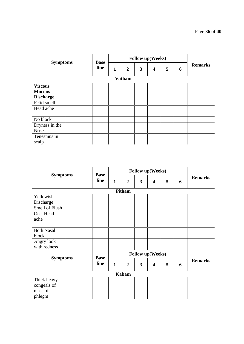|                  | <b>Base</b> |              | <b>Follow up</b> (Weeks) |   |                         |   |   |                |  |  |
|------------------|-------------|--------------|--------------------------|---|-------------------------|---|---|----------------|--|--|
| <b>Symptoms</b>  | line        | $\mathbf{1}$ | $\overline{2}$           | 3 | $\overline{\mathbf{4}}$ | 5 | 6 | <b>Remarks</b> |  |  |
| <b>Vatham</b>    |             |              |                          |   |                         |   |   |                |  |  |
| <b>Viscous</b>   |             |              |                          |   |                         |   |   |                |  |  |
| <b>Mucous</b>    |             |              |                          |   |                         |   |   |                |  |  |
| <b>Discharge</b> |             |              |                          |   |                         |   |   |                |  |  |
| Fetid smell      |             |              |                          |   |                         |   |   |                |  |  |
| Head ache        |             |              |                          |   |                         |   |   |                |  |  |
|                  |             |              |                          |   |                         |   |   |                |  |  |
| No block         |             |              |                          |   |                         |   |   |                |  |  |
| Dryness in the   |             |              |                          |   |                         |   |   |                |  |  |
| <b>Nose</b>      |             |              |                          |   |                         |   |   |                |  |  |
| Tenesmus in      |             |              |                          |   |                         |   |   |                |  |  |
| scalp            |             |              |                          |   |                         |   |   |                |  |  |

|                   | <b>Base</b> |                         |                  |   |                         |   |   |                |
|-------------------|-------------|-------------------------|------------------|---|-------------------------|---|---|----------------|
| <b>Symptoms</b>   | line        | $\mathbf{1}$            | $\overline{2}$   | 3 | $\overline{\mathbf{4}}$ | 5 | 6 | <b>Remarks</b> |
|                   |             |                         | Pitham           |   |                         |   |   |                |
| Yellowish         |             |                         |                  |   |                         |   |   |                |
| Discharge         |             |                         |                  |   |                         |   |   |                |
| Smell of Flush    |             |                         |                  |   |                         |   |   |                |
| Occ. Head         |             |                         |                  |   |                         |   |   |                |
| ache              |             |                         |                  |   |                         |   |   |                |
|                   |             |                         |                  |   |                         |   |   |                |
| <b>Both Nasal</b> |             |                         |                  |   |                         |   |   |                |
| block             |             |                         |                  |   |                         |   |   |                |
| Angry look        |             |                         |                  |   |                         |   |   |                |
| with redness      |             |                         |                  |   |                         |   |   |                |
|                   | <b>Base</b> | <b>Follow up(Weeks)</b> |                  |   |                         |   |   |                |
| <b>Symptoms</b>   | line        | $\mathbf{1}$            | $\boldsymbol{2}$ | 3 | $\overline{\mathbf{4}}$ | 5 | 6 | <b>Remarks</b> |
|                   |             |                         | Kabam            |   |                         |   |   |                |
| Thick heavy       |             |                         |                  |   |                         |   |   |                |
| congeals of       |             |                         |                  |   |                         |   |   |                |
| mass of           |             |                         |                  |   |                         |   |   |                |
| phlegm            |             |                         |                  |   |                         |   |   |                |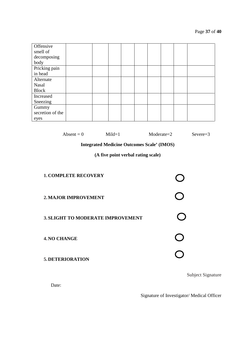| Offensive<br>smell of |  |  |  |  |  |
|-----------------------|--|--|--|--|--|
| decomposing           |  |  |  |  |  |
| body                  |  |  |  |  |  |
| Pricking pain         |  |  |  |  |  |
| in head               |  |  |  |  |  |
| Alternate             |  |  |  |  |  |
| <b>Nasal</b>          |  |  |  |  |  |
| <b>Block</b>          |  |  |  |  |  |
| Increased             |  |  |  |  |  |
| Sneezing              |  |  |  |  |  |
| Gummy                 |  |  |  |  |  |
| secretion of the      |  |  |  |  |  |
| eyes                  |  |  |  |  |  |

 $\text{Absolute} = 0$  Mild=1 Moderate=2 Severe=3

**Integrated Medicine Outcomes Scale' (IMOS)**

**(A five point verbal rating scale)**

| <b>1. COMPLETE RECOVERY</b>              |  |
|------------------------------------------|--|
| <b>2. MAJOR IMPROVEMENT</b>              |  |
| <b>3. SLIGHT TO MODERATE IMPROVEMENT</b> |  |
| <b>4. NO CHANGE</b>                      |  |
| <b>5. DETERIORATION</b>                  |  |

Subject Signature

Date:

Signature of Investigator/ Medical Officer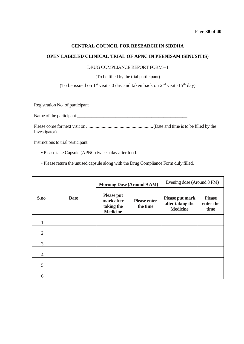#### **CENTRAL COUNCIL FOR RESEARCH IN SIDDHA**

#### **OPEN LABELED CLINICAL TRIAL OF APNC IN PEENISAM (SINUSITIS)**

#### DRUG COMPLIANCE REPORT FORM – I

(To be filled by the trial participant)

(To be issued on  $1^{st}$  visit - 0 day and taken back on  $2^{nd}$  visit -15<sup>th</sup> day)

Registration No. of participant \_\_\_\_\_\_\_\_\_\_\_\_\_\_\_\_\_\_\_\_\_\_\_\_\_\_\_\_\_\_\_\_\_\_\_\_\_\_\_\_

Name of the participant \_\_\_\_\_\_\_\_\_\_\_\_\_\_\_\_\_\_\_\_\_\_\_\_\_\_\_\_\_\_\_\_\_\_\_\_\_\_\_\_\_\_\_\_\_\_

Please come for next visit on ........................................................(Date and time is to be filled by the Investigator)

Instructions to trial participant

- Please take Capsule (APNC) twice a day after food.
- Please return the unused capsule along with the Drug Compliance Form duly filled.

|                     |  | <b>Morning Dose (Around 9 AM)</b>                                |                                 | Evening dose (Around 8 PM) |                                    |  |  |
|---------------------|--|------------------------------------------------------------------|---------------------------------|----------------------------|------------------------------------|--|--|
| S.no<br><b>Date</b> |  | <b>Please put</b><br>mark after<br>taking the<br><b>Medicine</b> | <b>Please enter</b><br>the time |                            | <b>Please</b><br>enter the<br>time |  |  |
| 1.                  |  |                                                                  |                                 |                            |                                    |  |  |
| 2.                  |  |                                                                  |                                 |                            |                                    |  |  |
| 3.                  |  |                                                                  |                                 |                            |                                    |  |  |
| 4.                  |  |                                                                  |                                 |                            |                                    |  |  |
| 5.                  |  |                                                                  |                                 |                            |                                    |  |  |
| 6.                  |  |                                                                  |                                 |                            |                                    |  |  |